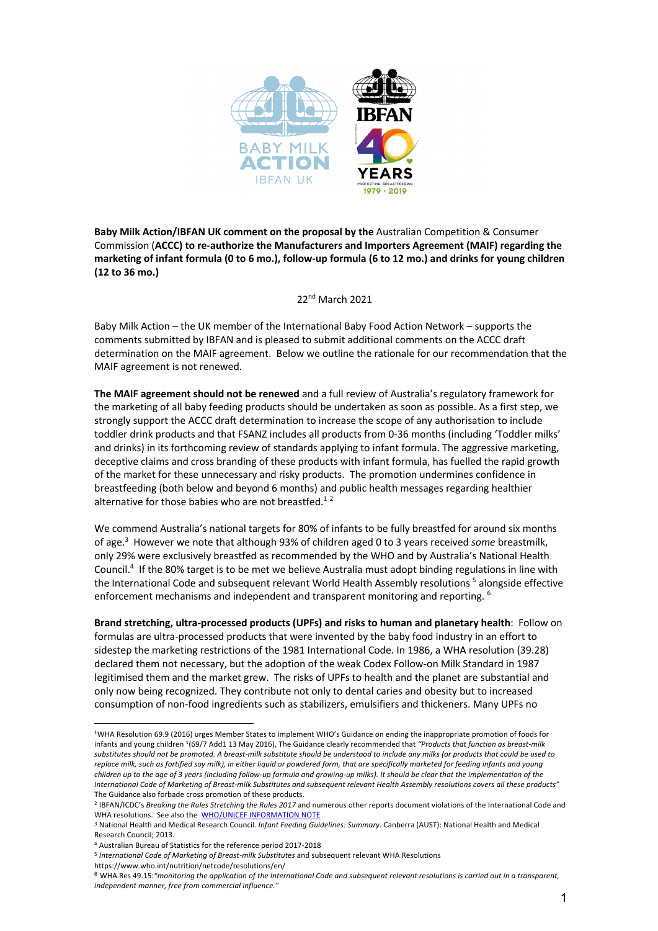

**Baby Milk Action/IBFAN UK comment on the proposal by the** Australian Competition & Consumer Commission (**ACCC) to re-authorize the Manufacturers and Importers Agreement (MAIF) regarding the marketing of infant formula (0 to 6 mo.), follow-up formula (6 to 12 mo.) and drinks for young children (12 to 36 mo.)**

## 22nd March 2021

Baby Milk Action – the UK member of the International Baby Food Action Network – supports the comments submitted by IBFAN and is pleased to submit additional comments on the ACCC draft determination on the MAIF agreement. Below we outline the rationale for our recommendation that the MAIF agreement is not renewed.

**The MAIF agreement should not be renewed** and a full review of Australia's regulatory framework for the marketing of all baby feeding products should be undertaken as soon as possible. As a first step, we strongly support the ACCC draft determination to increase the scope of any authorisation to include toddler drink products and that FSANZ includes all products from 0-36 months (including 'Toddler milks' and drinks) in its forthcoming review of standards applying to infant formula. The aggressive marketing, deceptive claims and cross branding of these products with infant formula, has fuelled the rapid growth of the market for these unnecessary and risky products. The promotion undermines confidence in breastfeeding (both below and beyond 6 months) and public health messages regarding healthier alternative for those babies who are not breastfed. $^{12}$ 

We commend Australia's national targets for 80% of infants to be fully breastfed for around six months of age. <sup>3</sup> However we note that although 93% of children aged 0 to 3 years received *some* breastmilk, only 29% were exclusively breastfed as recommended by the WHO and by Australia's National Health Council.<sup>4</sup> If the 80% target is to be met we believe Australia must adopt binding regulations in line with the International Code and subsequent relevant World Health Assembly resolutions <sup>5</sup> alongside effective enforcement mechanisms and independent and transparent monitoring and reporting.<sup>6</sup>

**Brand stretching, ultra-processed products (UPFs) and risks to human and planetary health**: Follow on formulas are ultra-processed products that were invented by the baby food industry in an effort to sidestep the marketing restrictions of the 1981 International Code. In 1986, a WHA resolution (39.28) declared them not necessary, but the adoption of the weak Codex Follow-on Milk Standard in 1987 legitimised them and the market grew. The risks of UPFs to health and the planet are substantial and only now being recognized. They contribute not only to dental caries and obesity but to increased consumption of non-food ingredients such as stabilizers, emulsifiers and thickeners. Many UPFs no

<sup>1</sup>WHA Resolution 69.9 (2016) urges Member States to implement WHO's Guidance on ending the inappropriate promotion of foods for infants and young children 1(69/7 Add1 13 May 2016), The Guidance clearly recommended that *"Products that function as breast-milk substitutes should not be promoted. A breast-milk substitute should be understood to include any milks (or products that could be used to*  replace milk, such as fortified soy milk), in either liquid or powdered form, that are specifically marketed for feeding infants and young *children up to the age of 3 years (including follow-up formula and growing-up milks). It should be clear that the implementation of the International Code of Marketing of Breast-milk Substitutes and subsequent relevant Health Assembly resolutions covers all these products"* 

<sup>&</sup>lt;sup>2</sup> IBFAN/ICDC's *Breaking the Rules Stretching the Rules 2017* and numerous other reports document violations of the International Code and WHA resolutions. See also the WHO/UNICEF INFORMATION NOTE

<sup>3</sup> National Health and Medical Research Council*. Infant Feeding Guidelines: Summary.* Canberra (AUST): National Health and Medical Research Council; 2013.

<sup>4</sup> Australian Bureau of Statistics for the reference period 2017-2018

<sup>5</sup> *International Code of Marketing of Breast-milk Substitutes* and subsequent relevant WHA Resolutions

https://www.who.int/nutrition/netcode/resolutions/en/

<sup>6</sup> WHA Res 49.15:*"monitoring the application of the International Code and subsequent relevant resolutions is carried out in a transparent, independent manner, free from commercial influence."*